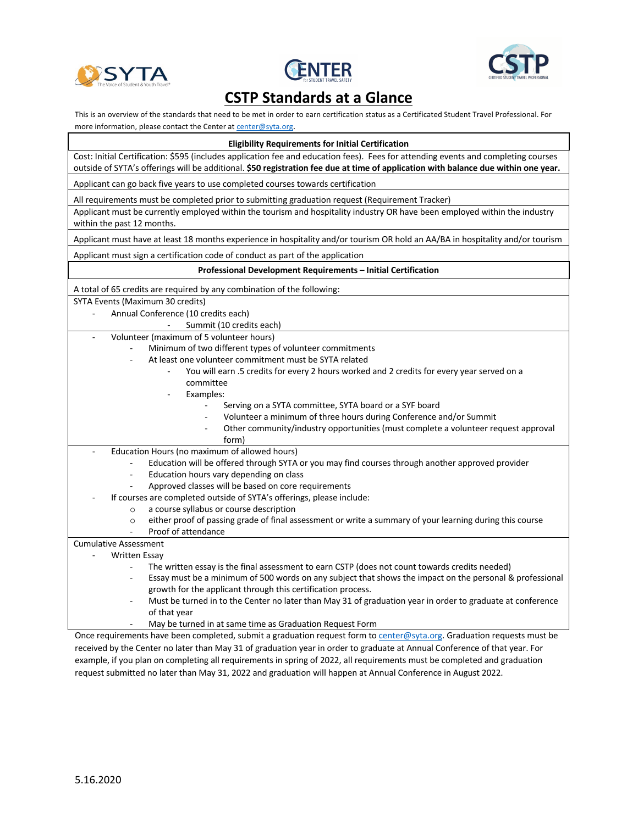





## **CSTP Standards at a Glance**

This is an overview of the standards that need to be met in order to earn certification status as a Certificated Student Travel Professional. For more information, please contact the Center at center@syta.org.

| <b>Eligibility Requirements for Initial Certification</b>                                                                                                                                                                                                                |
|--------------------------------------------------------------------------------------------------------------------------------------------------------------------------------------------------------------------------------------------------------------------------|
| Cost: Initial Certification: \$595 (includes application fee and education fees). Fees for attending events and completing courses<br>outside of SYTA's offerings will be additional. \$50 registration fee due at time of application with balance due within one year. |
| Applicant can go back five years to use completed courses towards certification                                                                                                                                                                                          |
| All requirements must be completed prior to submitting graduation request (Requirement Tracker)                                                                                                                                                                          |
| Applicant must be currently employed within the tourism and hospitality industry OR have been employed within the industry<br>within the past 12 months.                                                                                                                 |
| Applicant must have at least 18 months experience in hospitality and/or tourism OR hold an AA/BA in hospitality and/or tourism                                                                                                                                           |
| Applicant must sign a certification code of conduct as part of the application                                                                                                                                                                                           |
| Professional Development Requirements - Initial Certification                                                                                                                                                                                                            |
| A total of 65 credits are required by any combination of the following:                                                                                                                                                                                                  |
| SYTA Events (Maximum 30 credits)                                                                                                                                                                                                                                         |
| Annual Conference (10 credits each)                                                                                                                                                                                                                                      |
| Summit (10 credits each)                                                                                                                                                                                                                                                 |
| Volunteer (maximum of 5 volunteer hours)<br>$\blacksquare$                                                                                                                                                                                                               |
| Minimum of two different types of volunteer commitments                                                                                                                                                                                                                  |
| At least one volunteer commitment must be SYTA related                                                                                                                                                                                                                   |
| You will earn .5 credits for every 2 hours worked and 2 credits for every year served on a                                                                                                                                                                               |
| committee                                                                                                                                                                                                                                                                |
| Examples:                                                                                                                                                                                                                                                                |
| Serving on a SYTA committee, SYTA board or a SYF board                                                                                                                                                                                                                   |
| Volunteer a minimum of three hours during Conference and/or Summit                                                                                                                                                                                                       |
| Other community/industry opportunities (must complete a volunteer request approval                                                                                                                                                                                       |
| form)                                                                                                                                                                                                                                                                    |
| Education Hours (no maximum of allowed hours)                                                                                                                                                                                                                            |
| Education will be offered through SYTA or you may find courses through another approved provider                                                                                                                                                                         |
| Education hours vary depending on class<br>$\blacksquare$                                                                                                                                                                                                                |
| Approved classes will be based on core requirements                                                                                                                                                                                                                      |
| If courses are completed outside of SYTA's offerings, please include:                                                                                                                                                                                                    |
| a course syllabus or course description<br>$\circ$                                                                                                                                                                                                                       |
| either proof of passing grade of final assessment or write a summary of your learning during this course<br>$\circ$<br>Proof of attendance                                                                                                                               |
| <b>Cumulative Assessment</b>                                                                                                                                                                                                                                             |
| Written Essay                                                                                                                                                                                                                                                            |
| The written essay is the final assessment to earn CSTP (does not count towards credits needed)                                                                                                                                                                           |
| Essay must be a minimum of 500 words on any subject that shows the impact on the personal & professional<br>$\sim$                                                                                                                                                       |
| growth for the applicant through this certification process.                                                                                                                                                                                                             |
| Must be turned in to the Center no later than May 31 of graduation year in order to graduate at conference<br>of that year                                                                                                                                               |
| May be turned in at same time as Graduation Request Form                                                                                                                                                                                                                 |

Once requirements have been completed, submit a graduation request form to center@syta.org. Graduation requests must be received by the Center no later than May 31 of graduation year in order to graduate at Annual Conference of that year. For example, if you plan on completing all requirements in spring of 2022, all requirements must be completed and graduation request submitted no later than May 31, 2022 and graduation will happen at Annual Conference in August 2022.